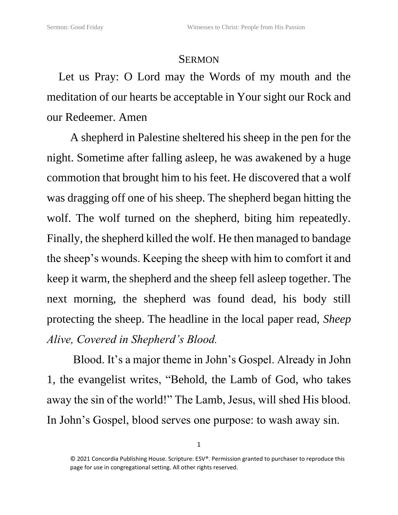## **SERMON**

Let us Pray: O Lord may the Words of my mouth and the meditation of our hearts be acceptable in Your sight our Rock and our Redeemer. Amen

A shepherd in Palestine sheltered his sheep in the pen for the night. Sometime after falling asleep, he was awakened by a huge commotion that brought him to his feet. He discovered that a wolf was dragging off one of his sheep. The shepherd began hitting the wolf. The wolf turned on the shepherd, biting him repeatedly. Finally, the shepherd killed the wolf. He then managed to bandage the sheep's wounds. Keeping the sheep with him to comfort it and keep it warm, the shepherd and the sheep fell asleep together. The next morning, the shepherd was found dead, his body still protecting the sheep. The headline in the local paper read, *Sheep Alive, Covered in Shepherd's Blood.*

Blood. It's a major theme in John's Gospel. Already in John 1, the evangelist writes, "Behold, the Lamb of God, who takes away the sin of the world!" The Lamb, Jesus, will shed His blood. In John's Gospel, blood serves one purpose: to wash away sin.

<sup>© 2021</sup> Concordia Publishing House. Scripture: ESV®. Permission granted to purchaser to reproduce this page for use in congregational setting. All other rights reserved.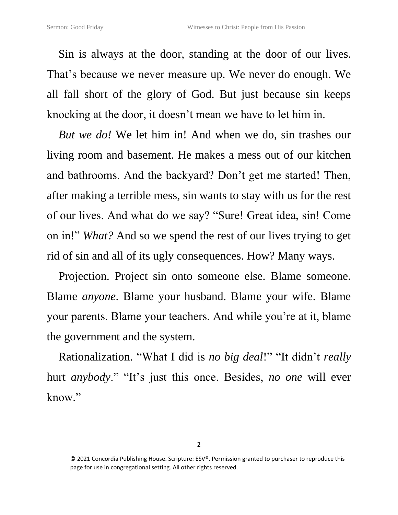Sin is always at the door, standing at the door of our lives. That's because we never measure up. We never do enough. We all fall short of the glory of God. But just because sin keeps knocking at the door, it doesn't mean we have to let him in.

*But we do!* We let him in! And when we do, sin trashes our living room and basement. He makes a mess out of our kitchen and bathrooms. And the backyard? Don't get me started! Then, after making a terrible mess, sin wants to stay with us for the rest of our lives. And what do we say? "Sure! Great idea, sin! Come on in!" *What?* And so we spend the rest of our lives trying to get rid of sin and all of its ugly consequences. How? Many ways.

Projection. Project sin onto someone else. Blame someone. Blame *anyone*. Blame your husband. Blame your wife. Blame your parents. Blame your teachers. And while you're at it, blame the government and the system.

Rationalization. "What I did is *no big deal*!" "It didn't *really* hurt *anybody*." "It's just this once. Besides, *no one* will ever know."

<sup>© 2021</sup> Concordia Publishing House. Scripture: ESV®. Permission granted to purchaser to reproduce this page for use in congregational setting. All other rights reserved.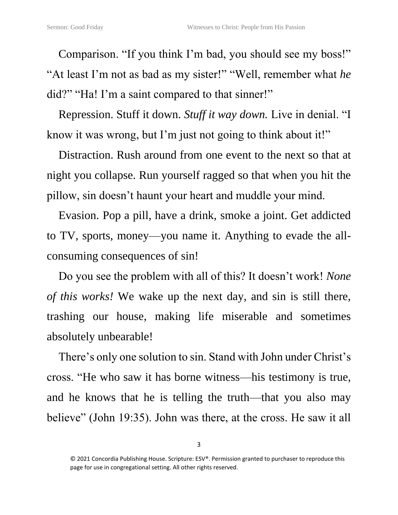Comparison. "If you think I'm bad, you should see my boss!" "At least I'm not as bad as my sister!" "Well, remember what *he*  did?" "Ha! I'm a saint compared to that sinner!"

Repression. Stuff it down. *Stuff it way down.* Live in denial. "I know it was wrong, but I'm just not going to think about it!"

Distraction. Rush around from one event to the next so that at night you collapse. Run yourself ragged so that when you hit the pillow, sin doesn't haunt your heart and muddle your mind.

Evasion. Pop a pill, have a drink, smoke a joint. Get addicted to TV, sports, money—you name it. Anything to evade the allconsuming consequences of sin!

Do you see the problem with all of this? It doesn't work! *None of this works!* We wake up the next day, and sin is still there, trashing our house, making life miserable and sometimes absolutely unbearable!

There's only one solution to sin. Stand with John under Christ's cross. "He who saw it has borne witness—his testimony is true, and he knows that he is telling the truth—that you also may believe" (John 19:35). John was there, at the cross. He saw it all

<sup>© 2021</sup> Concordia Publishing House. Scripture: ESV®. Permission granted to purchaser to reproduce this page for use in congregational setting. All other rights reserved.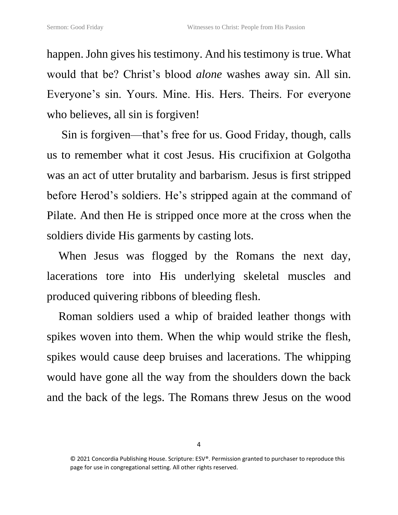happen. John gives his testimony. And his testimony is true. What would that be? Christ's blood *alone* washes away sin. All sin. Everyone's sin. Yours. Mine. His. Hers. Theirs. For everyone who believes, all sin is forgiven!

Sin is forgiven—that's free for us. Good Friday, though, calls us to remember what it cost Jesus. His crucifixion at Golgotha was an act of utter brutality and barbarism. Jesus is first stripped before Herod's soldiers. He's stripped again at the command of Pilate. And then He is stripped once more at the cross when the soldiers divide His garments by casting lots.

When Jesus was flogged by the Romans the next day, lacerations tore into His underlying skeletal muscles and produced quivering ribbons of bleeding flesh.

Roman soldiers used a whip of braided leather thongs with spikes woven into them. When the whip would strike the flesh, spikes would cause deep bruises and lacerations. The whipping would have gone all the way from the shoulders down the back and the back of the legs. The Romans threw Jesus on the wood

<sup>© 2021</sup> Concordia Publishing House. Scripture: ESV®. Permission granted to purchaser to reproduce this page for use in congregational setting. All other rights reserved.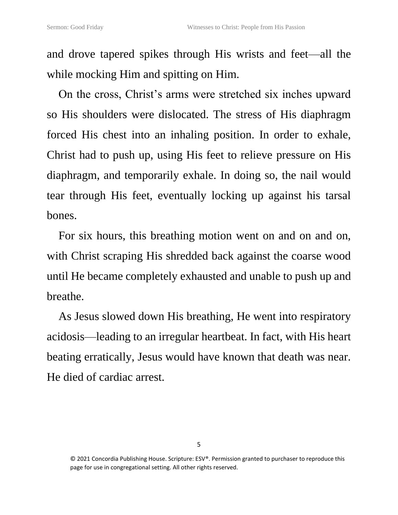and drove tapered spikes through His wrists and feet—all the while mocking Him and spitting on Him.

On the cross, Christ's arms were stretched six inches upward so His shoulders were dislocated. The stress of His diaphragm forced His chest into an inhaling position. In order to exhale, Christ had to push up, using His feet to relieve pressure on His diaphragm, and temporarily exhale. In doing so, the nail would tear through His feet, eventually locking up against his tarsal bones.

For six hours, this breathing motion went on and on and on, with Christ scraping His shredded back against the coarse wood until He became completely exhausted and unable to push up and breathe.

As Jesus slowed down His breathing, He went into respiratory acidosis—leading to an irregular heartbeat. In fact, with His heart beating erratically, Jesus would have known that death was near. He died of cardiac arrest.

<sup>© 2021</sup> Concordia Publishing House. Scripture: ESV®. Permission granted to purchaser to reproduce this page for use in congregational setting. All other rights reserved.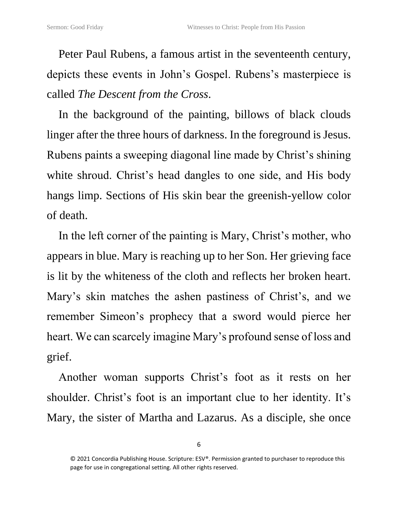Peter Paul Rubens, a famous artist in the seventeenth century, depicts these events in John's Gospel. Rubens's masterpiece is called *The Descent from the Cross*.

In the background of the painting, billows of black clouds linger after the three hours of darkness. In the foreground is Jesus. Rubens paints a sweeping diagonal line made by Christ's shining white shroud. Christ's head dangles to one side, and His body hangs limp. Sections of His skin bear the greenish-yellow color of death.

In the left corner of the painting is Mary, Christ's mother, who appears in blue. Mary is reaching up to her Son. Her grieving face is lit by the whiteness of the cloth and reflects her broken heart. Mary's skin matches the ashen pastiness of Christ's, and we remember Simeon's prophecy that a sword would pierce her heart. We can scarcely imagine Mary's profound sense of loss and grief.

Another woman supports Christ's foot as it rests on her shoulder. Christ's foot is an important clue to her identity. It's Mary, the sister of Martha and Lazarus. As a disciple, she once

<sup>© 2021</sup> Concordia Publishing House. Scripture: ESV®. Permission granted to purchaser to reproduce this page for use in congregational setting. All other rights reserved.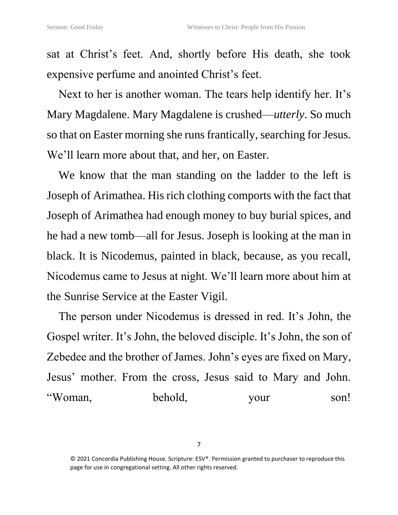sat at Christ's feet. And, shortly before His death, she took expensive perfume and anointed Christ's feet.

Next to her is another woman. The tears help identify her. It's Mary Magdalene. Mary Magdalene is crushed—*utterly*. So much so that on Easter morning she runs frantically, searching for Jesus. We'll learn more about that, and her, on Easter.

We know that the man standing on the ladder to the left is Joseph of Arimathea. His rich clothing comports with the fact that Joseph of Arimathea had enough money to buy burial spices, and he had a new tomb—all for Jesus. Joseph is looking at the man in black. It is Nicodemus, painted in black, because, as you recall, Nicodemus came to Jesus at night. We'll learn more about him at the Sunrise Service at the Easter Vigil.

The person under Nicodemus is dressed in red. It's John, the Gospel writer. It's John, the beloved disciple. It's John, the son of Zebedee and the brother of James. John's eyes are fixed on Mary, Jesus' mother. From the cross, Jesus said to Mary and John. "Woman, behold, your son!

7

<sup>© 2021</sup> Concordia Publishing House. Scripture: ESV®. Permission granted to purchaser to reproduce this page for use in congregational setting. All other rights reserved.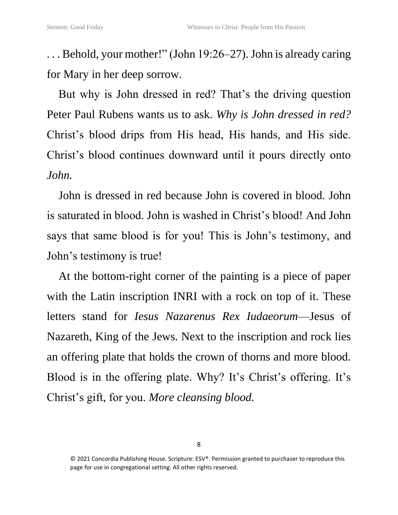. . . Behold, your mother!" (John 19:26–27). John is already caring for Mary in her deep sorrow.

But why is John dressed in red? That's the driving question Peter Paul Rubens wants us to ask. *Why is John dressed in red?* Christ's blood drips from His head, His hands, and His side. Christ's blood continues downward until it pours directly onto *John.*

John is dressed in red because John is covered in blood. John is saturated in blood. John is washed in Christ's blood! And John says that same blood is for you! This is John's testimony, and John's testimony is true!

At the bottom-right corner of the painting is a piece of paper with the Latin inscription INRI with a rock on top of it. These letters stand for *Iesus Nazarenus Rex Iudaeorum*—Jesus of Nazareth, King of the Jews. Next to the inscription and rock lies an offering plate that holds the crown of thorns and more blood. Blood is in the offering plate. Why? It's Christ's offering. It's Christ's gift, for you. *More cleansing blood.*

<sup>© 2021</sup> Concordia Publishing House. Scripture: ESV®. Permission granted to purchaser to reproduce this page for use in congregational setting. All other rights reserved.